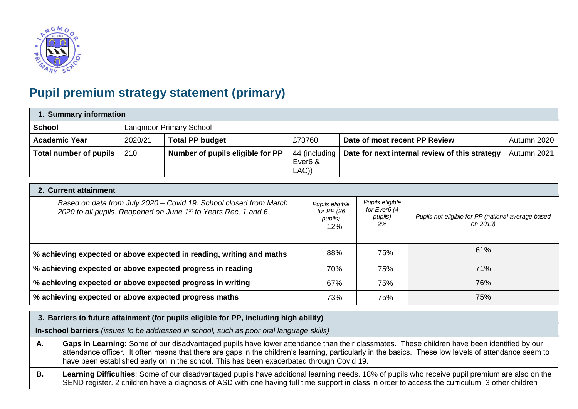

# **Pupil premium strategy statement (primary)**

| 1. Summary information        |         |                                  |                                               |                                                |             |  |
|-------------------------------|---------|----------------------------------|-----------------------------------------------|------------------------------------------------|-------------|--|
| <b>School</b>                 |         | <b>Langmoor Primary School</b>   |                                               |                                                |             |  |
| <b>Academic Year</b>          | 2020/21 | <b>Total PP budget</b>           | £73760                                        | Date of most recent PP Review                  | Autumn 2020 |  |
| <b>Total number of pupils</b> | 210     | Number of pupils eligible for PP | 44 (including<br>Ever <sub>6</sub> &<br>LAC)) | Date for next internal review of this strategy | Autumn 2021 |  |

#### **2. Current attainment**

| Based on data from July 2020 - Covid 19. School closed from March<br>2020 to all pupils. Reopened on June 1st to Years Rec, 1 and 6. | Pupils eligible<br>for PP (26<br>pupils)<br>12% | Pupils eligible<br>for Ever6 (4<br>pupils)<br>2% | Pupils not eligible for PP (national average based<br>on 2019) |
|--------------------------------------------------------------------------------------------------------------------------------------|-------------------------------------------------|--------------------------------------------------|----------------------------------------------------------------|
| % achieving expected or above expected in reading, writing and maths                                                                 | 88%                                             | 75%                                              | 61%                                                            |
| % achieving expected or above expected progress in reading                                                                           | 70%                                             | 75%                                              | 71%                                                            |
| % achieving expected or above expected progress in writing                                                                           | 67%                                             | 75%                                              | 76%                                                            |
| % achieving expected or above expected progress maths                                                                                | 73%                                             | 75%                                              | 75%                                                            |

## **3. Barriers to future attainment (for pupils eligible for PP, including high ability)**

**In-school barriers** *(issues to be addressed in school, such as poor oral language skills)*

- **A. Gaps in Learning:** Some of our disadvantaged pupils have lower attendance than their classmates. These children have been identified by our attendance officer. It often means that there are gaps in the children's learning, particularly in the basics. These low levels of attendance seem to have been established early on in the school. This has been exacerbated through Covid 19.
- **B. Learning Difficulties**: Some of our disadvantaged pupils have additional learning needs. 18% of pupils who receive pupil premium are also on the SEND register. 2 children have a diagnosis of ASD with one having full time support in class in order to access the curriculum. 3 other children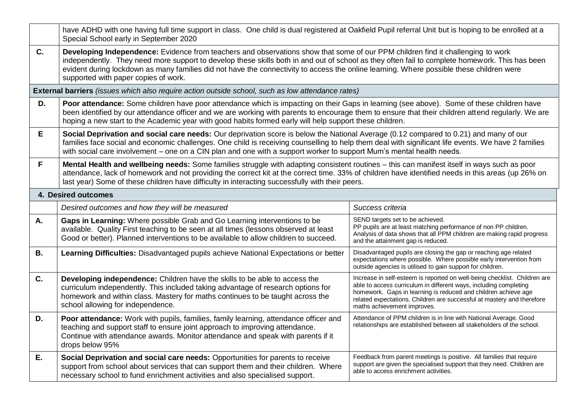|           | have ADHD with one having full time support in class. One child is dual registered at Oakfield Pupil referral Unit but is hoping to be enrolled at a<br>Special School early in September 2020                                                                                                                                                                                                                                                                        |                                                                                                                                                                                                                                                                                                                           |  |  |  |  |  |
|-----------|-----------------------------------------------------------------------------------------------------------------------------------------------------------------------------------------------------------------------------------------------------------------------------------------------------------------------------------------------------------------------------------------------------------------------------------------------------------------------|---------------------------------------------------------------------------------------------------------------------------------------------------------------------------------------------------------------------------------------------------------------------------------------------------------------------------|--|--|--|--|--|
| C.        | Developing Independence: Evidence from teachers and observations show that some of our PPM children find it challenging to work<br>independently. They need more support to develop these skills both in and out of school as they often fail to complete homework. This has been<br>evident during lockdown as many families did not have the connectivity to access the online learning. Where possible these children were<br>supported with paper copies of work. |                                                                                                                                                                                                                                                                                                                           |  |  |  |  |  |
|           | External barriers (issues which also require action outside school, such as low attendance rates)                                                                                                                                                                                                                                                                                                                                                                     |                                                                                                                                                                                                                                                                                                                           |  |  |  |  |  |
| D.        | Poor attendance: Some children have poor attendance which is impacting on their Gaps in learning (see above). Some of these children have<br>been identified by our attendance officer and we are working with parents to encourage them to ensure that their children attend regularly. We are<br>hoping a new start to the Academic year with good habits formed early will help support these children.                                                            |                                                                                                                                                                                                                                                                                                                           |  |  |  |  |  |
| E         | Social Deprivation and social care needs: Our deprivation score is below the National Average (0.12 compared to 0.21) and many of our<br>families face social and economic challenges. One child is receiving counselling to help them deal with significant life events. We have 2 families<br>with social care involvement – one on a CIN plan and one with a support worker to support Mum's mental health needs.                                                  |                                                                                                                                                                                                                                                                                                                           |  |  |  |  |  |
| F         | Mental Health and wellbeing needs: Some families struggle with adapting consistent routines – this can manifest itself in ways such as poor<br>attendance, lack of homework and not providing the correct kit at the correct time. 33% of children have identified needs in this areas (up 26% on<br>last year) Some of these children have difficulty in interacting successfully with their peers.                                                                  |                                                                                                                                                                                                                                                                                                                           |  |  |  |  |  |
|           | 4. Desired outcomes                                                                                                                                                                                                                                                                                                                                                                                                                                                   |                                                                                                                                                                                                                                                                                                                           |  |  |  |  |  |
|           | Desired outcomes and how they will be measured                                                                                                                                                                                                                                                                                                                                                                                                                        | Success criteria                                                                                                                                                                                                                                                                                                          |  |  |  |  |  |
| A.        | Gaps in Learning: Where possible Grab and Go Learning interventions to be<br>available. Quality First teaching to be seen at all times (lessons observed at least<br>Good or better). Planned interventions to be available to allow children to succeed.                                                                                                                                                                                                             | SEND targets set to be achieved.<br>PP pupils are at least matching performance of non PP children.<br>Analysis of data shows that all PPM children are making rapid progress<br>and the attainment gap is reduced.                                                                                                       |  |  |  |  |  |
| <b>B.</b> | <b>Learning Difficulties:</b> Disadvantaged pupils achieve National Expectations or better                                                                                                                                                                                                                                                                                                                                                                            | Disadvantaged pupils are closing the gap or reaching age related<br>expectations where possible. Where possible early intervention from<br>outside agencies is utilised to gain support for children.                                                                                                                     |  |  |  |  |  |
| C.        | Developing independence: Children have the skills to be able to access the<br>curriculum independently. This included taking advantage of research options for<br>homework and within class. Mastery for maths continues to be taught across the<br>school allowing for independence.                                                                                                                                                                                 | Increase in self-esteem is reported on well-being checklist. Children are<br>able to access curriculum in different ways, including completing<br>homework. Gaps in learning is reduced and children achieve age<br>related expectations. Children are successful at mastery and therefore<br>maths achievement improves. |  |  |  |  |  |
| D.        | Poor attendance: Work with pupils, families, family learning, attendance officer and<br>teaching and support staff to ensure joint approach to improving attendance.<br>Continue with attendance awards. Monitor attendance and speak with parents if it<br>drops below 95%                                                                                                                                                                                           | Attendance of PPM children is in line with National Average. Good<br>relationships are established between all stakeholders of the school.                                                                                                                                                                                |  |  |  |  |  |
| E.        | Social Deprivation and social care needs: Opportunities for parents to receive<br>support from school about services that can support them and their children. Where<br>necessary school to fund enrichment activities and also specialised support.                                                                                                                                                                                                                  | Feedback from parent meetings is positive. All families that require<br>support are given the specialised support that they need. Children are<br>able to access enrichment activities.                                                                                                                                   |  |  |  |  |  |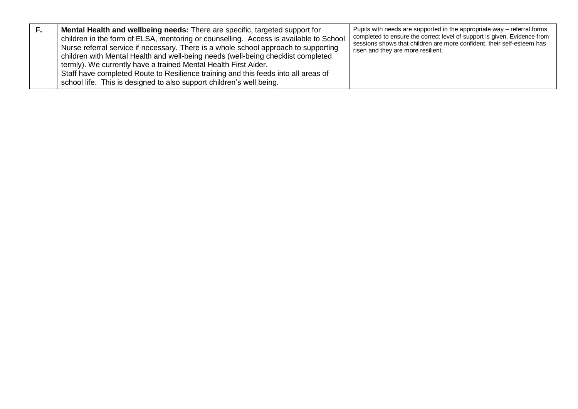|  | <b>Mental Health and wellbeing needs:</b> There are specific, targeted support for<br>children in the form of ELSA, mentoring or counselling. Access is available to School<br>Nurse referral service if necessary. There is a whole school approach to supporting<br>children with Mental Health and well-being needs (well-being checklist completed<br>termly). We currently have a trained Mental Health First Aider.<br>Staff have completed Route to Resilience training and this feeds into all areas of<br>school life. This is designed to also support children's well being. | Pupils with needs are supported in the appropriate way – referral forms<br>completed to ensure the correct level of support is given. Evidence from<br>sessions shows that children are more confident, their self-esteem has<br>risen and they are more resilient. |
|--|-----------------------------------------------------------------------------------------------------------------------------------------------------------------------------------------------------------------------------------------------------------------------------------------------------------------------------------------------------------------------------------------------------------------------------------------------------------------------------------------------------------------------------------------------------------------------------------------|---------------------------------------------------------------------------------------------------------------------------------------------------------------------------------------------------------------------------------------------------------------------|
|--|-----------------------------------------------------------------------------------------------------------------------------------------------------------------------------------------------------------------------------------------------------------------------------------------------------------------------------------------------------------------------------------------------------------------------------------------------------------------------------------------------------------------------------------------------------------------------------------------|---------------------------------------------------------------------------------------------------------------------------------------------------------------------------------------------------------------------------------------------------------------------|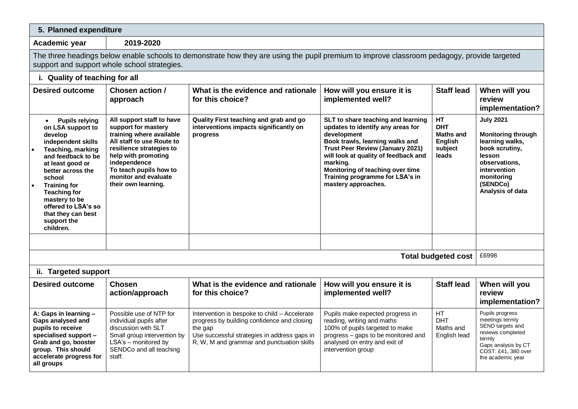### **5. Planned expenditure**

**Academic year 2019-2020**

The three headings below enable schools to demonstrate how they are using the pupil premium to improve classroom pedagogy, provide targeted support and support whole school strategies.

| i. Quality of teaching for all                                                                                                                                                                                                                                                                                                        |                                                                                                                                                                                                                                                       |                                                                                                                                                                                                       |                                                                                                                                                                                                                                                                                                                        |                                                                            |                                                                                                                                                                             |  |
|---------------------------------------------------------------------------------------------------------------------------------------------------------------------------------------------------------------------------------------------------------------------------------------------------------------------------------------|-------------------------------------------------------------------------------------------------------------------------------------------------------------------------------------------------------------------------------------------------------|-------------------------------------------------------------------------------------------------------------------------------------------------------------------------------------------------------|------------------------------------------------------------------------------------------------------------------------------------------------------------------------------------------------------------------------------------------------------------------------------------------------------------------------|----------------------------------------------------------------------------|-----------------------------------------------------------------------------------------------------------------------------------------------------------------------------|--|
| <b>Desired outcome</b>                                                                                                                                                                                                                                                                                                                | Chosen action /<br>approach                                                                                                                                                                                                                           | What is the evidence and rationale<br>for this choice?                                                                                                                                                | How will you ensure it is<br>implemented well?                                                                                                                                                                                                                                                                         | <b>Staff lead</b>                                                          | When will you<br>review<br>implementation?                                                                                                                                  |  |
| <b>Pupils relying</b><br>$\bullet$<br>on LSA support to<br>develop<br>independent skills<br><b>Teaching, marking</b><br>and feedback to be<br>at least good or<br>better across the<br>school<br><b>Training for</b><br><b>Teaching for</b><br>mastery to be<br>offered to LSA's so<br>that they can best<br>support the<br>children. | All support staff to have<br>support for mastery<br>training where available<br>All staff to use Route to<br>resilience strategies to<br>help with promoting<br>independence<br>To teach pupils how to<br>monitor and evaluate<br>their own learning. | Quality First teaching and grab and go<br>interventions impacts significantly on<br>progress                                                                                                          | SLT to share teaching and learning<br>updates to identify any areas for<br>development<br>Book trawls, learning walks and<br><b>Trust Peer Review (January 2021)</b><br>will look at quality of feedback and<br>marking.<br>Monitoring of teaching over time<br>Training programme for LSA's in<br>mastery approaches. | <b>HT</b><br><b>DHT</b><br><b>Maths and</b><br>English<br>subject<br>leads | <b>July 2021</b><br><b>Monitoring through</b><br>learning walks,<br>book scrutiny,<br>lesson<br>observations,<br>intervention<br>monitoring<br>(SENDCo)<br>Analysis of data |  |
|                                                                                                                                                                                                                                                                                                                                       |                                                                                                                                                                                                                                                       |                                                                                                                                                                                                       |                                                                                                                                                                                                                                                                                                                        |                                                                            |                                                                                                                                                                             |  |
|                                                                                                                                                                                                                                                                                                                                       |                                                                                                                                                                                                                                                       |                                                                                                                                                                                                       |                                                                                                                                                                                                                                                                                                                        | <b>Total budgeted cost</b>                                                 | £6998                                                                                                                                                                       |  |
| ii. Targeted support                                                                                                                                                                                                                                                                                                                  |                                                                                                                                                                                                                                                       |                                                                                                                                                                                                       |                                                                                                                                                                                                                                                                                                                        |                                                                            |                                                                                                                                                                             |  |
| <b>Desired outcome</b>                                                                                                                                                                                                                                                                                                                | <b>Chosen</b><br>action/approach                                                                                                                                                                                                                      | What is the evidence and rationale<br>for this choice?                                                                                                                                                | How will you ensure it is<br>implemented well?                                                                                                                                                                                                                                                                         | <b>Staff lead</b>                                                          | When will you<br>review<br>implementation?                                                                                                                                  |  |
| A: Gaps in learning -<br>Gaps analysed and<br>pupils to receive<br>specialised support -<br>Grab and go, booster<br>group. This should<br>accelerate progress for<br>all groups                                                                                                                                                       | Possible use of NTP for<br>individual pupils after<br>discussion with SLT<br>Small group intervention by<br>LSA's - monitored by<br>SENDCo and all teaching<br>staff.                                                                                 | Intervention is bespoke to child - Accelerate<br>progress by building confidence and closing<br>the gap<br>Use successful strategies in address gaps in<br>R, W, M and grammar and punctuation skills | Pupils make expected progress in<br>reading, writing and maths<br>100% of pupils targeted to make<br>progress - gaps to be monitored and<br>analysed on entry and exit of<br>intervention group                                                                                                                        | HT.<br><b>DHT</b><br>Maths and<br>English lead                             | Pupils progress<br>meetings termly<br>SEND targets and<br>reviews completed<br>termly<br>Gaps analysis by CT<br>COST: £41, 380 over<br>the academic year                    |  |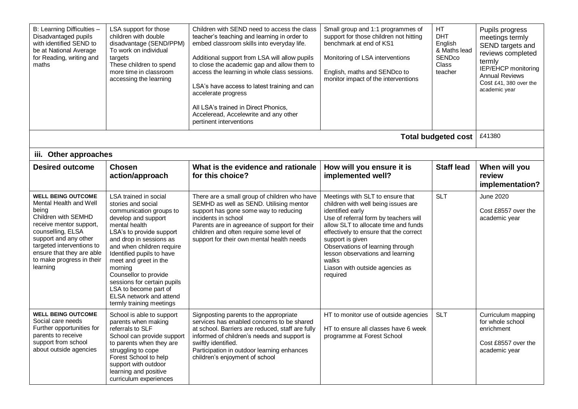| B: Learning Difficulties -<br>Disadvantaged pupils<br>with identified SEND to<br>be at National Average<br>for Reading, writing and<br>maths                                                                                                                    | LSA support for those<br>children with double<br>disadvantage (SEND/PPM)<br>To work on individual<br>targets<br>These children to spend<br>more time in classroom<br>accessing the learning                                                                                                                                                                                                                 | Children with SEND need to access the class<br>teacher's teaching and learning in order to<br>embed classroom skills into everyday life.<br>Additional support from LSA will allow pupils<br>to close the academic gap and allow them to<br>access the learning in whole class sessions.<br>LSA's have access to latest training and can<br>accelerate progress<br>All LSA's trained in Direct Phonics,<br>Acceleread, Accelewrite and any other<br>pertinent interventions | Small group and 1:1 programmes of<br>support for those children not hitting<br>benchmark at end of KS1<br>Monitoring of LSA interventions<br>English, maths and SENDco to<br>monitor impact of the interventions                                                                                                                                                           | HT<br><b>DHT</b><br>English<br>& Maths lead<br>SENDco<br><b>Class</b><br>teacher | Pupils progress<br>meetings termly<br>SEND targets and<br>reviews completed<br>termly<br>IEP/EHCP monitoring<br><b>Annual Reviews</b><br>Cost £41, 380 over the<br>academic year |
|-----------------------------------------------------------------------------------------------------------------------------------------------------------------------------------------------------------------------------------------------------------------|-------------------------------------------------------------------------------------------------------------------------------------------------------------------------------------------------------------------------------------------------------------------------------------------------------------------------------------------------------------------------------------------------------------|-----------------------------------------------------------------------------------------------------------------------------------------------------------------------------------------------------------------------------------------------------------------------------------------------------------------------------------------------------------------------------------------------------------------------------------------------------------------------------|----------------------------------------------------------------------------------------------------------------------------------------------------------------------------------------------------------------------------------------------------------------------------------------------------------------------------------------------------------------------------|----------------------------------------------------------------------------------|----------------------------------------------------------------------------------------------------------------------------------------------------------------------------------|
|                                                                                                                                                                                                                                                                 |                                                                                                                                                                                                                                                                                                                                                                                                             |                                                                                                                                                                                                                                                                                                                                                                                                                                                                             |                                                                                                                                                                                                                                                                                                                                                                            | <b>Total budgeted cost</b>                                                       | £41380                                                                                                                                                                           |
| iii. Other approaches                                                                                                                                                                                                                                           |                                                                                                                                                                                                                                                                                                                                                                                                             |                                                                                                                                                                                                                                                                                                                                                                                                                                                                             |                                                                                                                                                                                                                                                                                                                                                                            |                                                                                  |                                                                                                                                                                                  |
| <b>Desired outcome</b>                                                                                                                                                                                                                                          | <b>Chosen</b><br>action/approach                                                                                                                                                                                                                                                                                                                                                                            | What is the evidence and rationale<br>for this choice?                                                                                                                                                                                                                                                                                                                                                                                                                      | How will you ensure it is<br>implemented well?                                                                                                                                                                                                                                                                                                                             | <b>Staff lead</b>                                                                | When will you<br>review<br>implementation?                                                                                                                                       |
| <b>WELL BEING OUTCOME</b><br>Mental Health and Well<br>being<br>Children with SEMHD<br>receive mentor support,<br>counselling, ELSA<br>support and any other<br>targeted interventions to<br>ensure that they are able<br>to make progress in their<br>learning | LSA trained in social<br>stories and social<br>communication groups to<br>develop and support<br>mental health<br>LSA's to provide support<br>and drop in sessions as<br>and when children require<br>Identified pupils to have<br>meet and greet in the<br>morning<br>Counsellor to provide<br>sessions for certain pupils<br>LSA to become part of<br>ELSA network and attend<br>termly training meetings | There are a small group of children who have<br>SEMHD as well as SEND. Utilising mentor<br>support has gone some way to reducing<br>incidents in school<br>Parents are in agreeance of support for their<br>children and often require some level of<br>support for their own mental health needs                                                                                                                                                                           | Meetings with SLT to ensure that<br>children with well being issues are<br>identified early<br>Use of referral form by teachers will<br>allow SLT to allocate time and funds<br>effectively to ensure that the correct<br>support is given<br>Observations of learning through<br>lesson observations and learning<br>walks<br>Liason with outside agencies as<br>required | <b>SLT</b>                                                                       | <b>June 2020</b><br>Cost £8557 over the<br>academic year                                                                                                                         |
| <b>WELL BEING OUTCOME</b><br>Social care needs<br>Further opportunities for<br>parents to receive<br>support from school<br>about outside agencies                                                                                                              | School is able to support<br>parents when making<br>referrals to SLF<br>School can provide support<br>to parents when they are<br>struggling to cope<br>Forest School to help<br>support with outdoor<br>learning and positive<br>curriculum experiences                                                                                                                                                    | Signposting parents to the appropriate<br>services has enabled concerns to be shared<br>at school. Barriers are reduced, staff are fully<br>informed of children's needs and support is<br>swiftly identified.<br>Participation in outdoor learning enhances<br>children's enjoyment of school                                                                                                                                                                              | HT to monitor use of outside agencies<br>HT to ensure all classes have 6 week<br>programme at Forest School                                                                                                                                                                                                                                                                | <b>SLT</b>                                                                       | Curriculum mapping<br>for whole school<br>enrichment<br>Cost £8557 over the<br>academic year                                                                                     |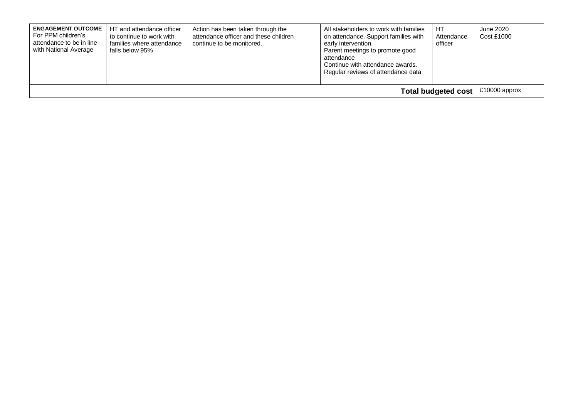| <b>ENGAGEMENT OUTCOME</b><br>For PPM children's<br>attendance to be in line<br>with National Average | HT and attendance officer<br>to continue to work with<br>families where attendance<br>falls below 95% | Action has been taken through the<br>attendance officer and these children<br>continue to be monitored. | All stakeholders to work with families<br>on attendance. Support families with<br>early intervention.<br>Parent meetings to promote good<br>attendance<br>Continue with attendance awards.<br>Regular reviews of attendance data | HT<br>Attendance<br>officer | June 2020<br><b>Cost £1000</b> |
|------------------------------------------------------------------------------------------------------|-------------------------------------------------------------------------------------------------------|---------------------------------------------------------------------------------------------------------|----------------------------------------------------------------------------------------------------------------------------------------------------------------------------------------------------------------------------------|-----------------------------|--------------------------------|
| <b>Total budgeted cost</b>                                                                           |                                                                                                       |                                                                                                         |                                                                                                                                                                                                                                  |                             | £10000 approx                  |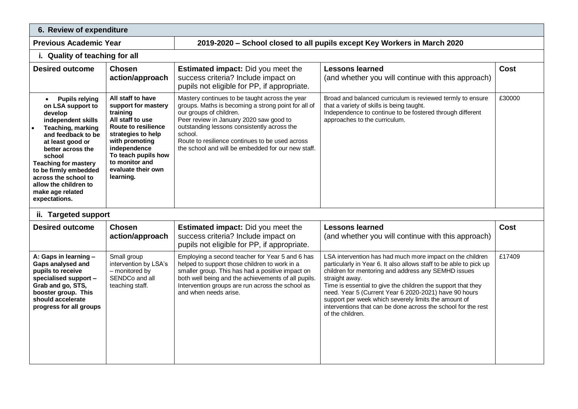| 6. Review of expenditure                                                                                                                                                                                                                                                                                                             |                                                                                                                                                                                                                                            |                                                                                                                                                                                                                                                                                                                                                |                                                                                                                                                                                                                                                                                                                                                                                                                                                                                |             |  |  |
|--------------------------------------------------------------------------------------------------------------------------------------------------------------------------------------------------------------------------------------------------------------------------------------------------------------------------------------|--------------------------------------------------------------------------------------------------------------------------------------------------------------------------------------------------------------------------------------------|------------------------------------------------------------------------------------------------------------------------------------------------------------------------------------------------------------------------------------------------------------------------------------------------------------------------------------------------|--------------------------------------------------------------------------------------------------------------------------------------------------------------------------------------------------------------------------------------------------------------------------------------------------------------------------------------------------------------------------------------------------------------------------------------------------------------------------------|-------------|--|--|
| <b>Previous Academic Year</b>                                                                                                                                                                                                                                                                                                        |                                                                                                                                                                                                                                            | 2019-2020 – School closed to all pupils except Key Workers in March 2020                                                                                                                                                                                                                                                                       |                                                                                                                                                                                                                                                                                                                                                                                                                                                                                |             |  |  |
| i. Quality of teaching for all                                                                                                                                                                                                                                                                                                       |                                                                                                                                                                                                                                            |                                                                                                                                                                                                                                                                                                                                                |                                                                                                                                                                                                                                                                                                                                                                                                                                                                                |             |  |  |
| <b>Desired outcome</b>                                                                                                                                                                                                                                                                                                               | <b>Chosen</b><br>action/approach                                                                                                                                                                                                           | <b>Estimated impact:</b> Did you meet the<br>success criteria? Include impact on<br>pupils not eligible for PP, if appropriate.                                                                                                                                                                                                                | <b>Lessons learned</b><br>(and whether you will continue with this approach)                                                                                                                                                                                                                                                                                                                                                                                                   | <b>Cost</b> |  |  |
| <b>Pupils relying</b><br>$\bullet$<br>on LSA support to<br>develop<br>independent skills<br>Teaching, marking<br>and feedback to be<br>at least good or<br>better across the<br>school<br><b>Teaching for mastery</b><br>to be firmly embedded<br>across the school to<br>allow the children to<br>make age related<br>expectations. | All staff to have<br>support for mastery<br>training<br>All staff to use<br><b>Route to resilience</b><br>strategies to help<br>with promoting<br>independence<br>To teach pupils how<br>to monitor and<br>evaluate their own<br>learning. | Mastery continues to be taught across the year<br>groups. Maths is becoming a strong point for all of<br>our groups of children.<br>Peer review in January 2020 saw good to<br>outstanding lessons consistently across the<br>school.<br>Route to resilience continues to be used across<br>the school and will be embedded for our new staff. | Broad and balanced curriculum is reviewed termly to ensure<br>that a variety of skills is being taught.<br>Independence to continue to be fostered through different<br>approaches to the curriculum.                                                                                                                                                                                                                                                                          | £30000      |  |  |
| ii. Targeted support                                                                                                                                                                                                                                                                                                                 |                                                                                                                                                                                                                                            |                                                                                                                                                                                                                                                                                                                                                |                                                                                                                                                                                                                                                                                                                                                                                                                                                                                |             |  |  |
| <b>Desired outcome</b>                                                                                                                                                                                                                                                                                                               | <b>Chosen</b><br>action/approach                                                                                                                                                                                                           | <b>Estimated impact:</b> Did you meet the<br>success criteria? Include impact on<br>pupils not eligible for PP, if appropriate.                                                                                                                                                                                                                | <b>Lessons learned</b><br>(and whether you will continue with this approach)                                                                                                                                                                                                                                                                                                                                                                                                   | <b>Cost</b> |  |  |
| A: Gaps in learning -<br>Gaps analysed and<br>pupils to receive<br>specialised support -<br>Grab and go, STS,<br>booster group. This<br>should accelerate<br>progress for all groups                                                                                                                                                 | Small group<br>intervention by LSA's<br>- monitored by<br>SENDCo and all<br>teaching staff.                                                                                                                                                | Employing a second teacher for Year 5 and 6 has<br>helped to support those children to work in a<br>smaller group. This has had a positive impact on<br>both well being and the achievements of all pupils.<br>Intervention groups are run across the school as<br>and when needs arise.                                                       | LSA intervention has had much more impact on the children<br>particularly in Year 6. It also allows staff to be able to pick up<br>children for mentoring and address any SEMHD issues<br>straight away.<br>Time is essential to give the children the support that they<br>need. Year 5 (Current Year 6 2020-2021) have 90 hours<br>support per week which severely limits the amount of<br>interventions that can be done across the school for the rest<br>of the children. | £17409      |  |  |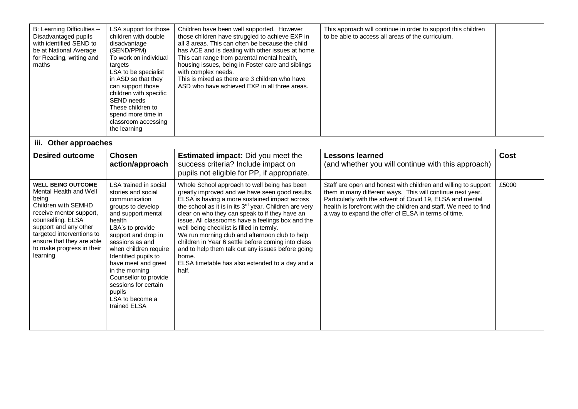| B: Learning Difficulties -<br>Disadvantaged pupils<br>with identified SEND to<br>be at National Average<br>for Reading, writing and<br>maths                                                                                                                    | LSA support for those<br>children with double<br>disadvantage<br>(SEND/PPM)<br>To work on individual<br>targets<br>LSA to be specialist<br>in ASD so that they<br>can support those<br>children with specific<br>SEND needs<br>These children to<br>spend more time in<br>classroom accessing<br>the learning                                                           | Children have been well supported. However<br>those children have struggled to achieve EXP in<br>all 3 areas. This can often be because the child<br>has ACE and is dealing with other issues at home.<br>This can range from parental mental health,<br>housing issues, being in Foster care and siblings<br>with complex needs.<br>This is mixed as there are 3 children who have<br>ASD who have achieved EXP in all three areas.                                                                                                                                                                         | This approach will continue in order to support this children<br>to be able to access all areas of the curriculum.                                                                                                                                                                                                   |       |
|-----------------------------------------------------------------------------------------------------------------------------------------------------------------------------------------------------------------------------------------------------------------|-------------------------------------------------------------------------------------------------------------------------------------------------------------------------------------------------------------------------------------------------------------------------------------------------------------------------------------------------------------------------|--------------------------------------------------------------------------------------------------------------------------------------------------------------------------------------------------------------------------------------------------------------------------------------------------------------------------------------------------------------------------------------------------------------------------------------------------------------------------------------------------------------------------------------------------------------------------------------------------------------|----------------------------------------------------------------------------------------------------------------------------------------------------------------------------------------------------------------------------------------------------------------------------------------------------------------------|-------|
| iii. Other approaches                                                                                                                                                                                                                                           |                                                                                                                                                                                                                                                                                                                                                                         |                                                                                                                                                                                                                                                                                                                                                                                                                                                                                                                                                                                                              |                                                                                                                                                                                                                                                                                                                      |       |
| <b>Desired outcome</b>                                                                                                                                                                                                                                          | <b>Chosen</b><br>action/approach                                                                                                                                                                                                                                                                                                                                        | <b>Estimated impact:</b> Did you meet the<br>success criteria? Include impact on<br>pupils not eligible for PP, if appropriate.                                                                                                                                                                                                                                                                                                                                                                                                                                                                              | <b>Lessons learned</b><br>(and whether you will continue with this approach)                                                                                                                                                                                                                                         | Cost  |
| <b>WELL BEING OUTCOME</b><br>Mental Health and Well<br>being<br>Children with SEMHD<br>receive mentor support,<br>counselling, ELSA<br>support and any other<br>targeted interventions to<br>ensure that they are able<br>to make progress in their<br>learning | LSA trained in social<br>stories and social<br>communication<br>groups to develop<br>and support mental<br>health<br>LSA's to provide<br>support and drop in<br>sessions as and<br>when children require<br>Identified pupils to<br>have meet and greet<br>in the morning<br>Counsellor to provide<br>sessions for certain<br>pupils<br>LSA to become a<br>trained ELSA | Whole School approach to well being has been<br>greatly improved and we have seen good results.<br>ELSA is having a more sustained impact across<br>the school as it is in its 3 <sup>rd</sup> year. Children are very<br>clear on who they can speak to if they have an<br>issue. All classrooms have a feelings box and the<br>well being checklist is filled in termly.<br>We run morning club and afternoon club to help<br>children in Year 6 settle before coming into class<br>and to help them talk out any issues before going<br>home.<br>ELSA timetable has also extended to a day and a<br>half. | Staff are open and honest with children and willing to support<br>them in many different ways. This will continue next year.<br>Particularly with the advent of Covid 19, ELSA and mental<br>health is forefront with the children and staff. We need to find<br>a way to expand the offer of ELSA in terms of time. | £5000 |